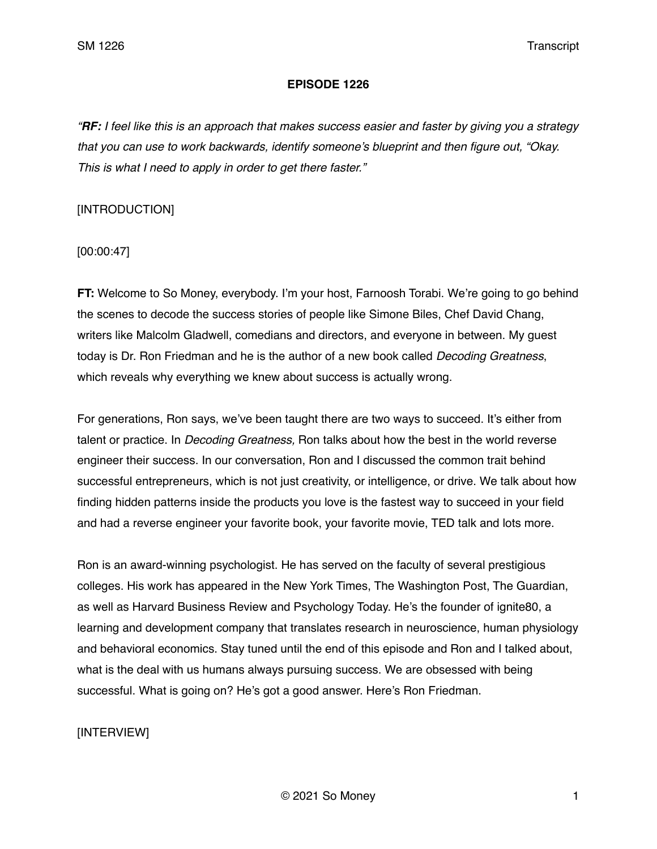### **EPISODE 1226**

*"RF: I feel like this is an approach that makes success easier and faster by giving you a strategy that you can use to work backwards, identify someone's blueprint and then figure out, "Okay. This is what I need to apply in order to get there faster."* 

## [INTRODUCTION]

[00:00:47]

**FT:** Welcome to So Money, everybody. I'm your host, Farnoosh Torabi. We're going to go behind the scenes to decode the success stories of people like Simone Biles, Chef David Chang, writers like Malcolm Gladwell, comedians and directors, and everyone in between. My guest today is Dr. Ron Friedman and he is the author of a new book called *Decoding Greatness*, which reveals why everything we knew about success is actually wrong.

For generations, Ron says, we've been taught there are two ways to succeed. It's either from talent or practice. In *Decoding Greatness,* Ron talks about how the best in the world reverse engineer their success. In our conversation, Ron and I discussed the common trait behind successful entrepreneurs, which is not just creativity, or intelligence, or drive. We talk about how finding hidden patterns inside the products you love is the fastest way to succeed in your field and had a reverse engineer your favorite book, your favorite movie, TED talk and lots more.

Ron is an award-winning psychologist. He has served on the faculty of several prestigious colleges. His work has appeared in the New York Times, The Washington Post, The Guardian, as well as Harvard Business Review and Psychology Today. He's the founder of ignite80, a learning and development company that translates research in neuroscience, human physiology and behavioral economics. Stay tuned until the end of this episode and Ron and I talked about, what is the deal with us humans always pursuing success. We are obsessed with being successful. What is going on? He's got a good answer. Here's Ron Friedman.

## [INTERVIEW]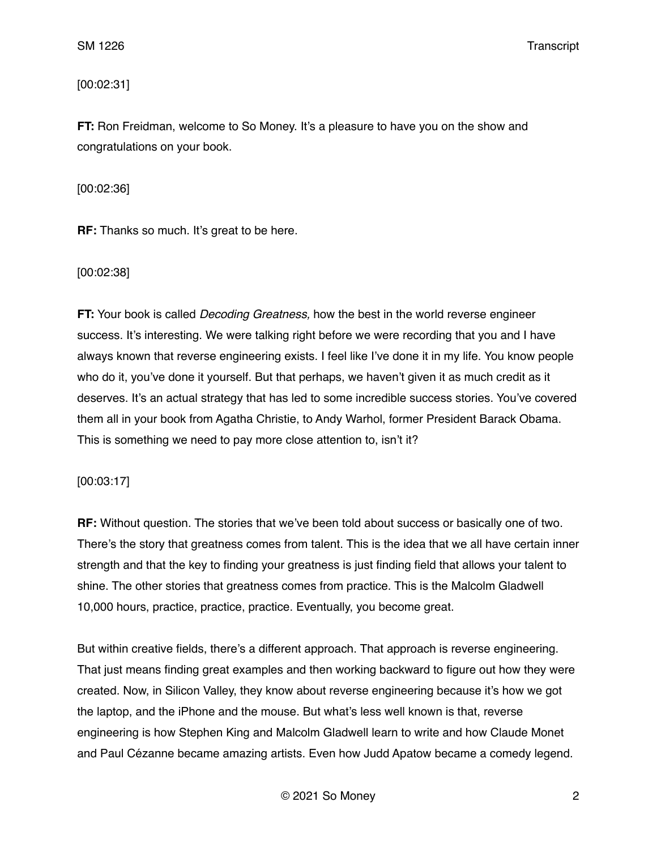[00:02:31]

**FT:** Ron Freidman, welcome to So Money. It's a pleasure to have you on the show and congratulations on your book.

[00:02:36]

**RF:** Thanks so much. It's great to be here.

[00:02:38]

**FT:** Your book is called *Decoding Greatness,* how the best in the world reverse engineer success. It's interesting. We were talking right before we were recording that you and I have always known that reverse engineering exists. I feel like I've done it in my life. You know people who do it, you've done it yourself. But that perhaps, we haven't given it as much credit as it deserves. It's an actual strategy that has led to some incredible success stories. You've covered them all in your book from Agatha Christie, to Andy Warhol, former President Barack Obama. This is something we need to pay more close attention to, isn't it?

[00:03:17]

**RF:** Without question. The stories that we've been told about success or basically one of two. There's the story that greatness comes from talent. This is the idea that we all have certain inner strength and that the key to finding your greatness is just finding field that allows your talent to shine. The other stories that greatness comes from practice. This is the Malcolm Gladwell 10,000 hours, practice, practice, practice. Eventually, you become great.

But within creative fields, there's a different approach. That approach is reverse engineering. That just means finding great examples and then working backward to figure out how they were created. Now, in Silicon Valley, they know about reverse engineering because it's how we got the laptop, and the iPhone and the mouse. But what's less well known is that, reverse engineering is how Stephen King and Malcolm Gladwell learn to write and how Claude Monet and Paul Cézanne became amazing artists. Even how Judd Apatow became a comedy legend.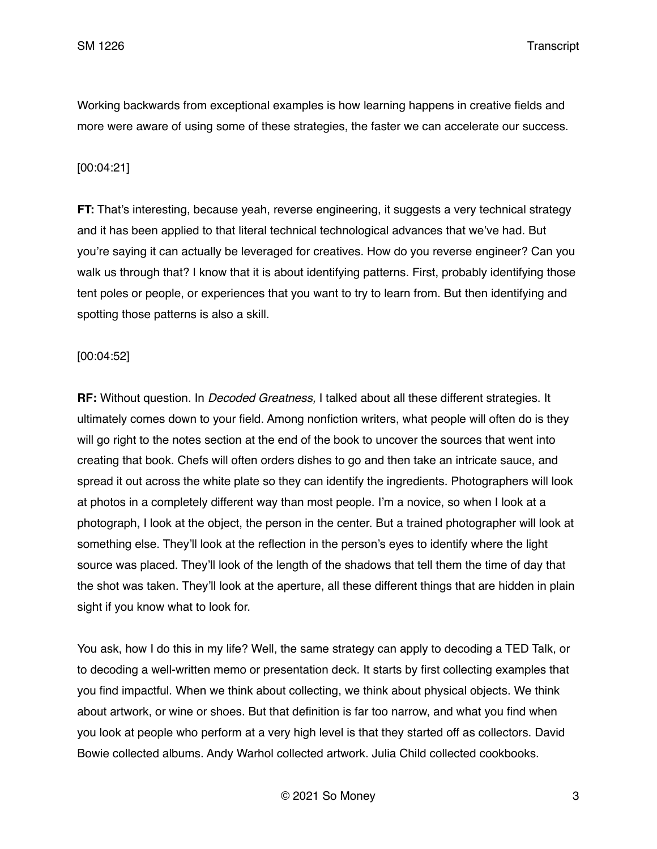Working backwards from exceptional examples is how learning happens in creative fields and more were aware of using some of these strategies, the faster we can accelerate our success.

### [00:04:21]

**FT:** That's interesting, because yeah, reverse engineering, it suggests a very technical strategy and it has been applied to that literal technical technological advances that we've had. But you're saying it can actually be leveraged for creatives. How do you reverse engineer? Can you walk us through that? I know that it is about identifying patterns. First, probably identifying those tent poles or people, or experiences that you want to try to learn from. But then identifying and spotting those patterns is also a skill.

#### [00:04:52]

**RF:** Without question. In *Decoded Greatness,* I talked about all these different strategies. It ultimately comes down to your field. Among nonfiction writers, what people will often do is they will go right to the notes section at the end of the book to uncover the sources that went into creating that book. Chefs will often orders dishes to go and then take an intricate sauce, and spread it out across the white plate so they can identify the ingredients. Photographers will look at photos in a completely different way than most people. I'm a novice, so when I look at a photograph, I look at the object, the person in the center. But a trained photographer will look at something else. They'll look at the reflection in the person's eyes to identify where the light source was placed. They'll look of the length of the shadows that tell them the time of day that the shot was taken. They'll look at the aperture, all these different things that are hidden in plain sight if you know what to look for.

You ask, how I do this in my life? Well, the same strategy can apply to decoding a TED Talk, or to decoding a well-written memo or presentation deck. It starts by first collecting examples that you find impactful. When we think about collecting, we think about physical objects. We think about artwork, or wine or shoes. But that definition is far too narrow, and what you find when you look at people who perform at a very high level is that they started off as collectors. David Bowie collected albums. Andy Warhol collected artwork. Julia Child collected cookbooks.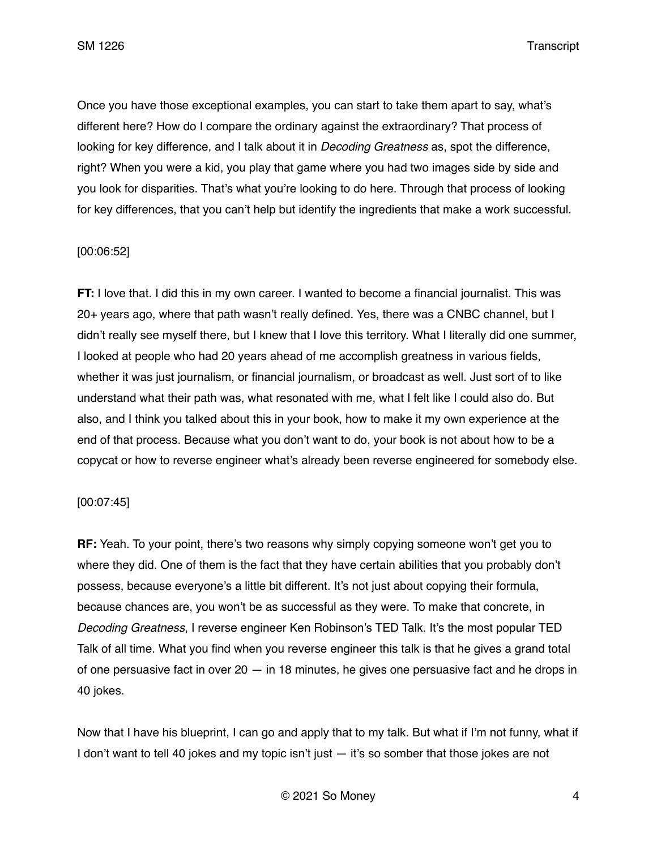Once you have those exceptional examples, you can start to take them apart to say, what's different here? How do I compare the ordinary against the extraordinary? That process of looking for key difference, and I talk about it in *Decoding Greatness* as, spot the difference, right? When you were a kid, you play that game where you had two images side by side and you look for disparities. That's what you're looking to do here. Through that process of looking for key differences, that you can't help but identify the ingredients that make a work successful.

### [00:06:52]

**FT:** I love that. I did this in my own career. I wanted to become a financial journalist. This was 20+ years ago, where that path wasn't really defined. Yes, there was a CNBC channel, but I didn't really see myself there, but I knew that I love this territory. What I literally did one summer, I looked at people who had 20 years ahead of me accomplish greatness in various fields, whether it was just journalism, or financial journalism, or broadcast as well. Just sort of to like understand what their path was, what resonated with me, what I felt like I could also do. But also, and I think you talked about this in your book, how to make it my own experience at the end of that process. Because what you don't want to do, your book is not about how to be a copycat or how to reverse engineer what's already been reverse engineered for somebody else.

### [00:07:45]

**RF:** Yeah. To your point, there's two reasons why simply copying someone won't get you to where they did. One of them is the fact that they have certain abilities that you probably don't possess, because everyone's a little bit different. It's not just about copying their formula, because chances are, you won't be as successful as they were. To make that concrete, in *Decoding Greatness*, I reverse engineer Ken Robinson's TED Talk. It's the most popular TED Talk of all time. What you find when you reverse engineer this talk is that he gives a grand total of one persuasive fact in over  $20 - in 18$  minutes, he gives one persuasive fact and he drops in 40 jokes.

Now that I have his blueprint, I can go and apply that to my talk. But what if I'm not funny, what if I don't want to tell 40 jokes and my topic isn't just — it's so somber that those jokes are not

© 2021 So Money 4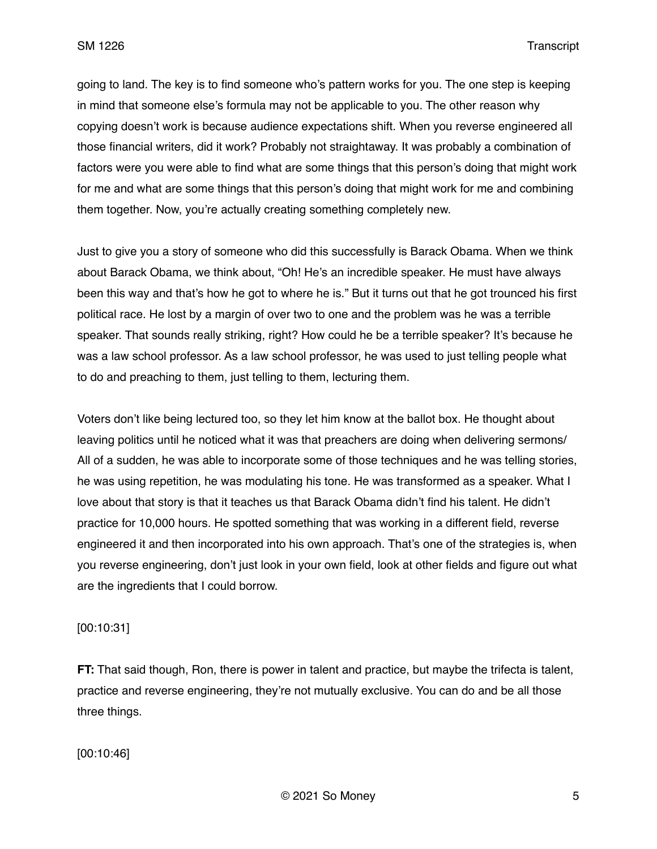going to land. The key is to find someone who's pattern works for you. The one step is keeping in mind that someone else's formula may not be applicable to you. The other reason why copying doesn't work is because audience expectations shift. When you reverse engineered all those financial writers, did it work? Probably not straightaway. It was probably a combination of factors were you were able to find what are some things that this person's doing that might work for me and what are some things that this person's doing that might work for me and combining them together. Now, you're actually creating something completely new.

Just to give you a story of someone who did this successfully is Barack Obama. When we think about Barack Obama, we think about, "Oh! He's an incredible speaker. He must have always been this way and that's how he got to where he is." But it turns out that he got trounced his first political race. He lost by a margin of over two to one and the problem was he was a terrible speaker. That sounds really striking, right? How could he be a terrible speaker? It's because he was a law school professor. As a law school professor, he was used to just telling people what to do and preaching to them, just telling to them, lecturing them.

Voters don't like being lectured too, so they let him know at the ballot box. He thought about leaving politics until he noticed what it was that preachers are doing when delivering sermons/ All of a sudden, he was able to incorporate some of those techniques and he was telling stories, he was using repetition, he was modulating his tone. He was transformed as a speaker. What I love about that story is that it teaches us that Barack Obama didn't find his talent. He didn't practice for 10,000 hours. He spotted something that was working in a different field, reverse engineered it and then incorporated into his own approach. That's one of the strategies is, when you reverse engineering, don't just look in your own field, look at other fields and figure out what are the ingredients that I could borrow.

## [00:10:31]

**FT:** That said though, Ron, there is power in talent and practice, but maybe the trifecta is talent, practice and reverse engineering, they're not mutually exclusive. You can do and be all those three things.

[00:10:46]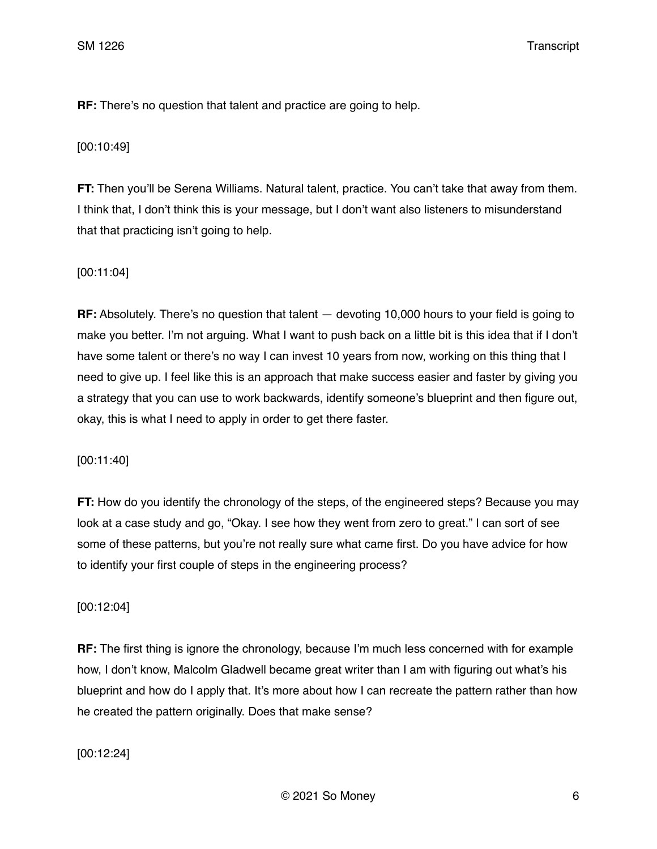**RF:** There's no question that talent and practice are going to help.

[00:10:49]

**FT:** Then you'll be Serena Williams. Natural talent, practice. You can't take that away from them. I think that, I don't think this is your message, but I don't want also listeners to misunderstand that that practicing isn't going to help.

## [00:11:04]

**RF:** Absolutely. There's no question that talent — devoting 10,000 hours to your field is going to make you better. I'm not arguing. What I want to push back on a little bit is this idea that if I don't have some talent or there's no way I can invest 10 years from now, working on this thing that I need to give up. I feel like this is an approach that make success easier and faster by giving you a strategy that you can use to work backwards, identify someone's blueprint and then figure out, okay, this is what I need to apply in order to get there faster.

[00:11:40]

**FT:** How do you identify the chronology of the steps, of the engineered steps? Because you may look at a case study and go, "Okay. I see how they went from zero to great." I can sort of see some of these patterns, but you're not really sure what came first. Do you have advice for how to identify your first couple of steps in the engineering process?

## [00:12:04]

**RF:** The first thing is ignore the chronology, because I'm much less concerned with for example how, I don't know, Malcolm Gladwell became great writer than I am with figuring out what's his blueprint and how do I apply that. It's more about how I can recreate the pattern rather than how he created the pattern originally. Does that make sense?

[00:12:24]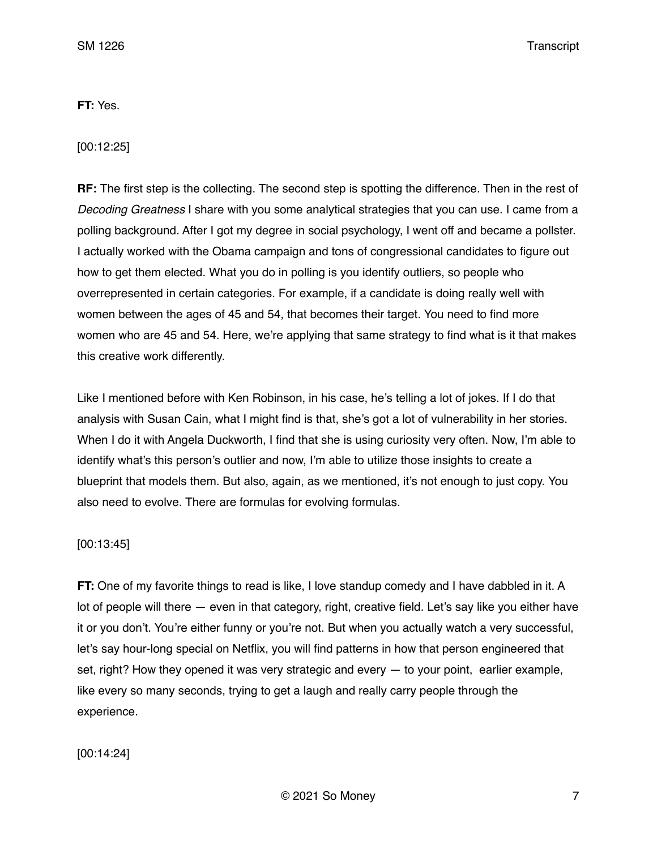## **FT:** Yes.

[00:12:25]

**RF:** The first step is the collecting. The second step is spotting the difference. Then in the rest of *Decoding Greatness* I share with you some analytical strategies that you can use. I came from a polling background. After I got my degree in social psychology, I went off and became a pollster. I actually worked with the Obama campaign and tons of congressional candidates to figure out how to get them elected. What you do in polling is you identify outliers, so people who overrepresented in certain categories. For example, if a candidate is doing really well with women between the ages of 45 and 54, that becomes their target. You need to find more women who are 45 and 54. Here, we're applying that same strategy to find what is it that makes this creative work differently.

Like I mentioned before with Ken Robinson, in his case, he's telling a lot of jokes. If I do that analysis with Susan Cain, what I might find is that, she's got a lot of vulnerability in her stories. When I do it with Angela Duckworth, I find that she is using curiosity very often. Now, I'm able to identify what's this person's outlier and now, I'm able to utilize those insights to create a blueprint that models them. But also, again, as we mentioned, it's not enough to just copy. You also need to evolve. There are formulas for evolving formulas.

### [00:13:45]

**FT:** One of my favorite things to read is like, I love standup comedy and I have dabbled in it. A lot of people will there — even in that category, right, creative field. Let's say like you either have it or you don't. You're either funny or you're not. But when you actually watch a very successful, let's say hour-long special on Netflix, you will find patterns in how that person engineered that set, right? How they opened it was very strategic and every — to your point, earlier example, like every so many seconds, trying to get a laugh and really carry people through the experience.

[00:14:24]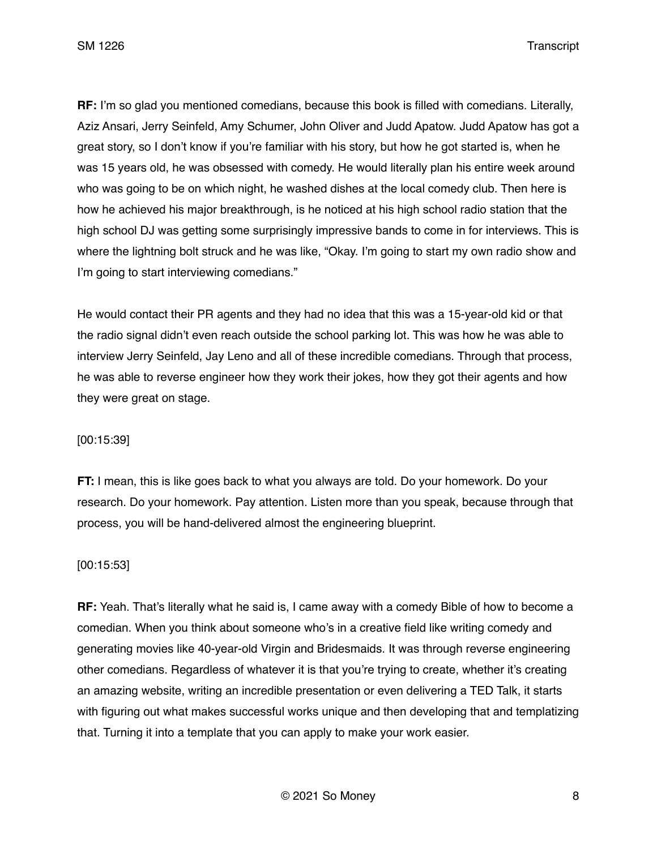**RF:** I'm so glad you mentioned comedians, because this book is filled with comedians. Literally, Aziz Ansari, Jerry Seinfeld, Amy Schumer, John Oliver and Judd Apatow. Judd Apatow has got a great story, so I don't know if you're familiar with his story, but how he got started is, when he was 15 years old, he was obsessed with comedy. He would literally plan his entire week around who was going to be on which night, he washed dishes at the local comedy club. Then here is how he achieved his major breakthrough, is he noticed at his high school radio station that the high school DJ was getting some surprisingly impressive bands to come in for interviews. This is where the lightning bolt struck and he was like, "Okay. I'm going to start my own radio show and I'm going to start interviewing comedians."

He would contact their PR agents and they had no idea that this was a 15-year-old kid or that the radio signal didn't even reach outside the school parking lot. This was how he was able to interview Jerry Seinfeld, Jay Leno and all of these incredible comedians. Through that process, he was able to reverse engineer how they work their jokes, how they got their agents and how they were great on stage.

#### [00:15:39]

**FT:** I mean, this is like goes back to what you always are told. Do your homework. Do your research. Do your homework. Pay attention. Listen more than you speak, because through that process, you will be hand-delivered almost the engineering blueprint.

#### [00:15:53]

**RF:** Yeah. That's literally what he said is, I came away with a comedy Bible of how to become a comedian. When you think about someone who's in a creative field like writing comedy and generating movies like 40-year-old Virgin and Bridesmaids. It was through reverse engineering other comedians. Regardless of whatever it is that you're trying to create, whether it's creating an amazing website, writing an incredible presentation or even delivering a TED Talk, it starts with figuring out what makes successful works unique and then developing that and templatizing that. Turning it into a template that you can apply to make your work easier.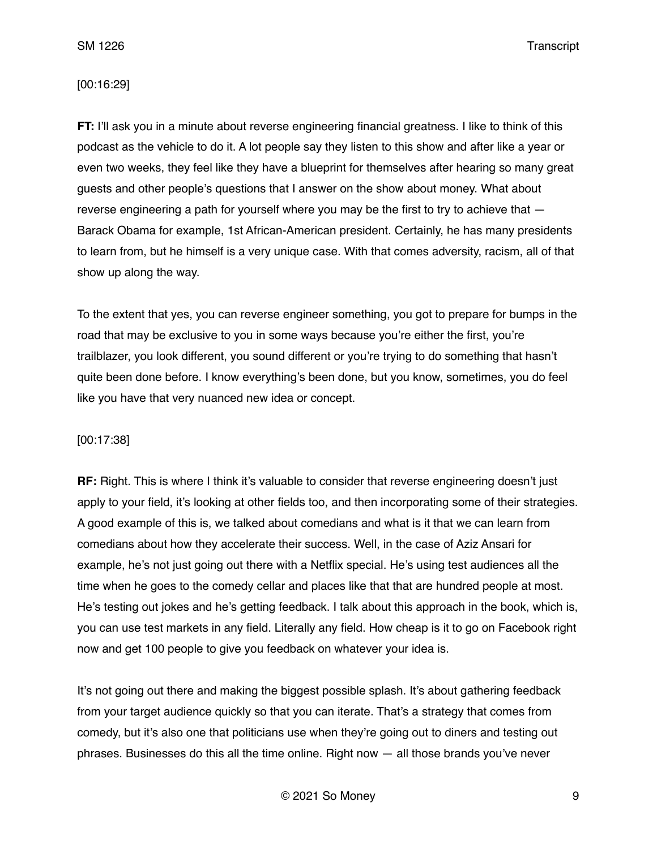#### [00:16:29]

**FT:** I'll ask you in a minute about reverse engineering financial greatness. I like to think of this podcast as the vehicle to do it. A lot people say they listen to this show and after like a year or even two weeks, they feel like they have a blueprint for themselves after hearing so many great guests and other people's questions that I answer on the show about money. What about reverse engineering a path for yourself where you may be the first to try to achieve that — Barack Obama for example, 1st African-American president. Certainly, he has many presidents to learn from, but he himself is a very unique case. With that comes adversity, racism, all of that show up along the way.

To the extent that yes, you can reverse engineer something, you got to prepare for bumps in the road that may be exclusive to you in some ways because you're either the first, you're trailblazer, you look different, you sound different or you're trying to do something that hasn't quite been done before. I know everything's been done, but you know, sometimes, you do feel like you have that very nuanced new idea or concept.

#### [00:17:38]

**RF:** Right. This is where I think it's valuable to consider that reverse engineering doesn't just apply to your field, it's looking at other fields too, and then incorporating some of their strategies. A good example of this is, we talked about comedians and what is it that we can learn from comedians about how they accelerate their success. Well, in the case of Aziz Ansari for example, he's not just going out there with a Netflix special. He's using test audiences all the time when he goes to the comedy cellar and places like that that are hundred people at most. He's testing out jokes and he's getting feedback. I talk about this approach in the book, which is, you can use test markets in any field. Literally any field. How cheap is it to go on Facebook right now and get 100 people to give you feedback on whatever your idea is.

It's not going out there and making the biggest possible splash. It's about gathering feedback from your target audience quickly so that you can iterate. That's a strategy that comes from comedy, but it's also one that politicians use when they're going out to diners and testing out phrases. Businesses do this all the time online. Right now — all those brands you've never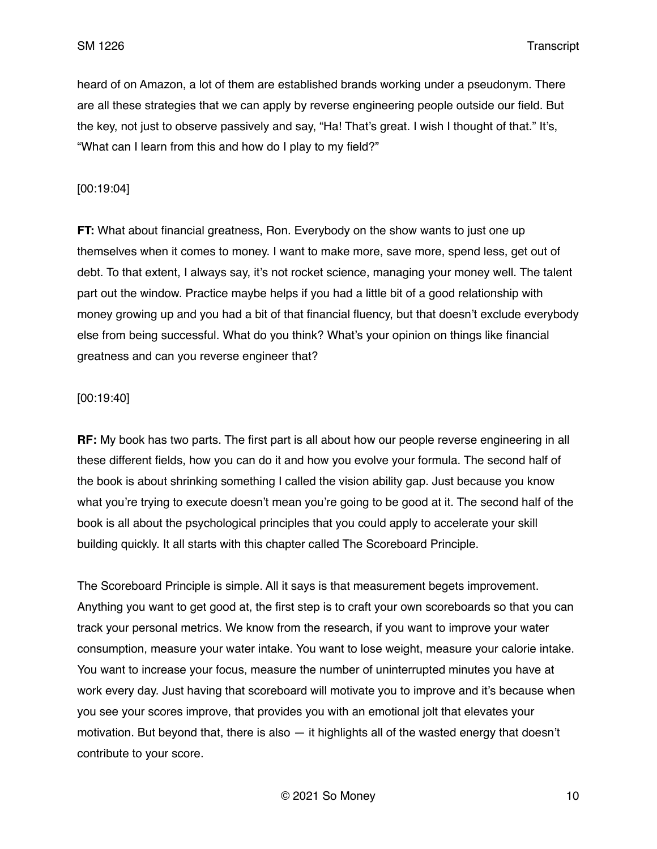heard of on Amazon, a lot of them are established brands working under a pseudonym. There are all these strategies that we can apply by reverse engineering people outside our field. But the key, not just to observe passively and say, "Ha! That's great. I wish I thought of that." It's, "What can I learn from this and how do I play to my field?"

[00:19:04]

**FT:** What about financial greatness, Ron. Everybody on the show wants to just one up themselves when it comes to money. I want to make more, save more, spend less, get out of debt. To that extent, I always say, it's not rocket science, managing your money well. The talent part out the window. Practice maybe helps if you had a little bit of a good relationship with money growing up and you had a bit of that financial fluency, but that doesn't exclude everybody else from being successful. What do you think? What's your opinion on things like financial greatness and can you reverse engineer that?

### [00:19:40]

**RF:** My book has two parts. The first part is all about how our people reverse engineering in all these different fields, how you can do it and how you evolve your formula. The second half of the book is about shrinking something I called the vision ability gap. Just because you know what you're trying to execute doesn't mean you're going to be good at it. The second half of the book is all about the psychological principles that you could apply to accelerate your skill building quickly. It all starts with this chapter called The Scoreboard Principle.

The Scoreboard Principle is simple. All it says is that measurement begets improvement. Anything you want to get good at, the first step is to craft your own scoreboards so that you can track your personal metrics. We know from the research, if you want to improve your water consumption, measure your water intake. You want to lose weight, measure your calorie intake. You want to increase your focus, measure the number of uninterrupted minutes you have at work every day. Just having that scoreboard will motivate you to improve and it's because when you see your scores improve, that provides you with an emotional jolt that elevates your motivation. But beyond that, there is also — it highlights all of the wasted energy that doesn't contribute to your score.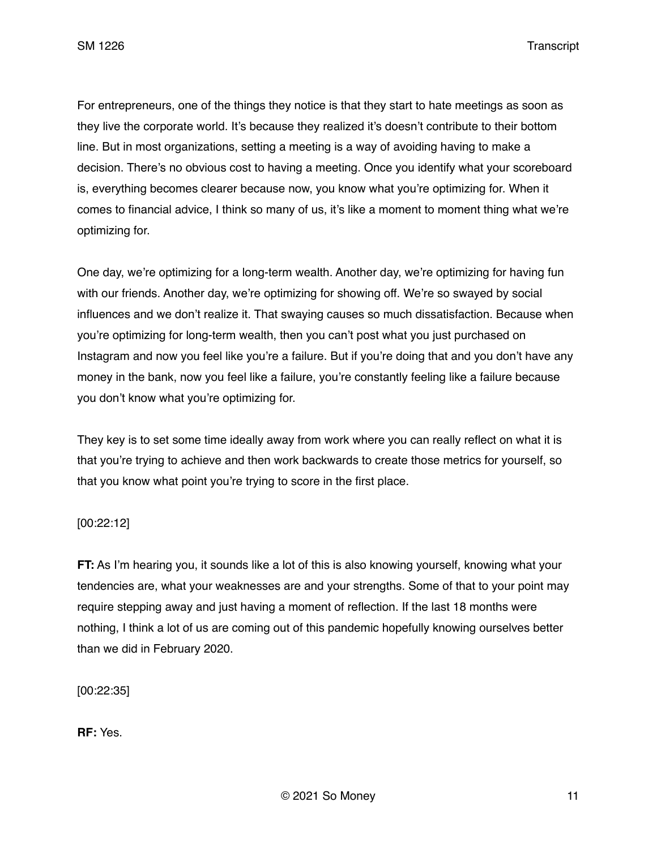For entrepreneurs, one of the things they notice is that they start to hate meetings as soon as they live the corporate world. It's because they realized it's doesn't contribute to their bottom line. But in most organizations, setting a meeting is a way of avoiding having to make a decision. There's no obvious cost to having a meeting. Once you identify what your scoreboard is, everything becomes clearer because now, you know what you're optimizing for. When it comes to financial advice, I think so many of us, it's like a moment to moment thing what we're optimizing for.

One day, we're optimizing for a long-term wealth. Another day, we're optimizing for having fun with our friends. Another day, we're optimizing for showing off. We're so swayed by social influences and we don't realize it. That swaying causes so much dissatisfaction. Because when you're optimizing for long-term wealth, then you can't post what you just purchased on Instagram and now you feel like you're a failure. But if you're doing that and you don't have any money in the bank, now you feel like a failure, you're constantly feeling like a failure because you don't know what you're optimizing for.

They key is to set some time ideally away from work where you can really reflect on what it is that you're trying to achieve and then work backwards to create those metrics for yourself, so that you know what point you're trying to score in the first place.

## [00:22:12]

**FT:** As I'm hearing you, it sounds like a lot of this is also knowing yourself, knowing what your tendencies are, what your weaknesses are and your strengths. Some of that to your point may require stepping away and just having a moment of reflection. If the last 18 months were nothing, I think a lot of us are coming out of this pandemic hopefully knowing ourselves better than we did in February 2020.

[00:22:35]

**RF:** Yes.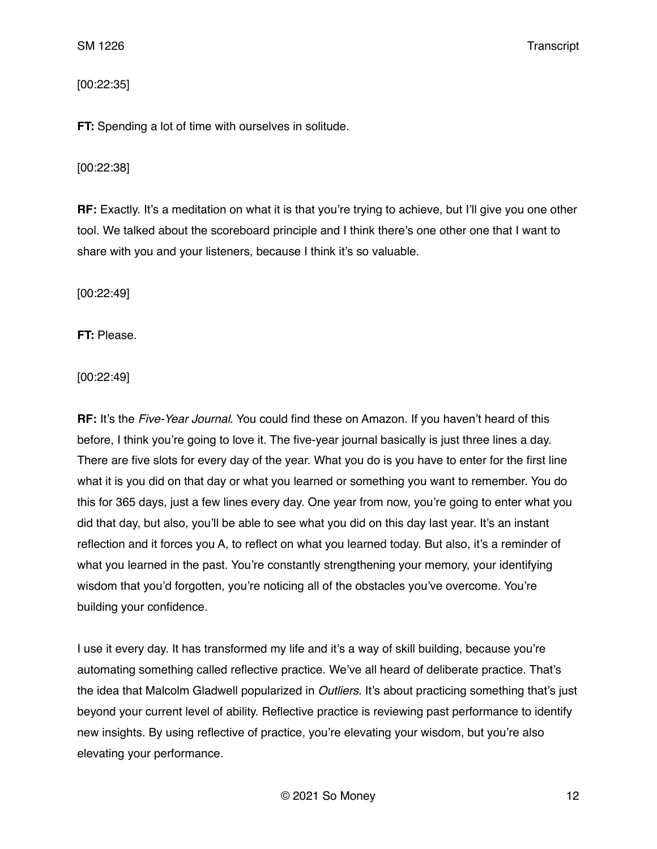## [00:22:35]

**FT:** Spending a lot of time with ourselves in solitude.

### [00:22:38]

**RF:** Exactly. It's a meditation on what it is that you're trying to achieve, but I'll give you one other tool. We talked about the scoreboard principle and I think there's one other one that I want to share with you and your listeners, because I think it's so valuable.

[00:22:49]

**FT:** Please.

[00:22:49]

**RF:** It's the *Five-Year Journal*. You could find these on Amazon. If you haven't heard of this before, I think you're going to love it. The five-year journal basically is just three lines a day. There are five slots for every day of the year. What you do is you have to enter for the first line what it is you did on that day or what you learned or something you want to remember. You do this for 365 days, just a few lines every day. One year from now, you're going to enter what you did that day, but also, you'll be able to see what you did on this day last year. It's an instant reflection and it forces you A, to reflect on what you learned today. But also, it's a reminder of what you learned in the past. You're constantly strengthening your memory, your identifying wisdom that you'd forgotten, you're noticing all of the obstacles you've overcome. You're building your confidence.

I use it every day. It has transformed my life and it's a way of skill building, because you're automating something called reflective practice. We've all heard of deliberate practice. That's the idea that Malcolm Gladwell popularized in *Outliers*. It's about practicing something that's just beyond your current level of ability. Reflective practice is reviewing past performance to identify new insights. By using reflective of practice, you're elevating your wisdom, but you're also elevating your performance.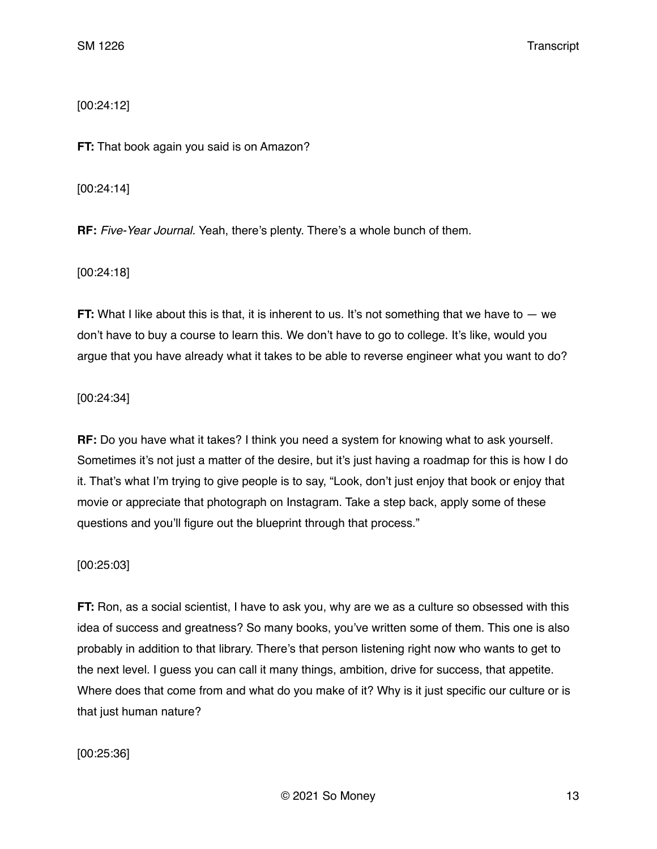[00:24:12]

**FT:** That book again you said is on Amazon?

[00:24:14]

**RF:** *Five-Year Journal.* Yeah, there's plenty. There's a whole bunch of them.

[00:24:18]

**FT:** What I like about this is that, it is inherent to us. It's not something that we have to  $-$  we don't have to buy a course to learn this. We don't have to go to college. It's like, would you argue that you have already what it takes to be able to reverse engineer what you want to do?

[00:24:34]

**RF:** Do you have what it takes? I think you need a system for knowing what to ask yourself. Sometimes it's not just a matter of the desire, but it's just having a roadmap for this is how I do it. That's what I'm trying to give people is to say, "Look, don't just enjoy that book or enjoy that movie or appreciate that photograph on Instagram. Take a step back, apply some of these questions and you'll figure out the blueprint through that process."

[00:25:03]

**FT:** Ron, as a social scientist, I have to ask you, why are we as a culture so obsessed with this idea of success and greatness? So many books, you've written some of them. This one is also probably in addition to that library. There's that person listening right now who wants to get to the next level. I guess you can call it many things, ambition, drive for success, that appetite. Where does that come from and what do you make of it? Why is it just specific our culture or is that just human nature?

[00:25:36]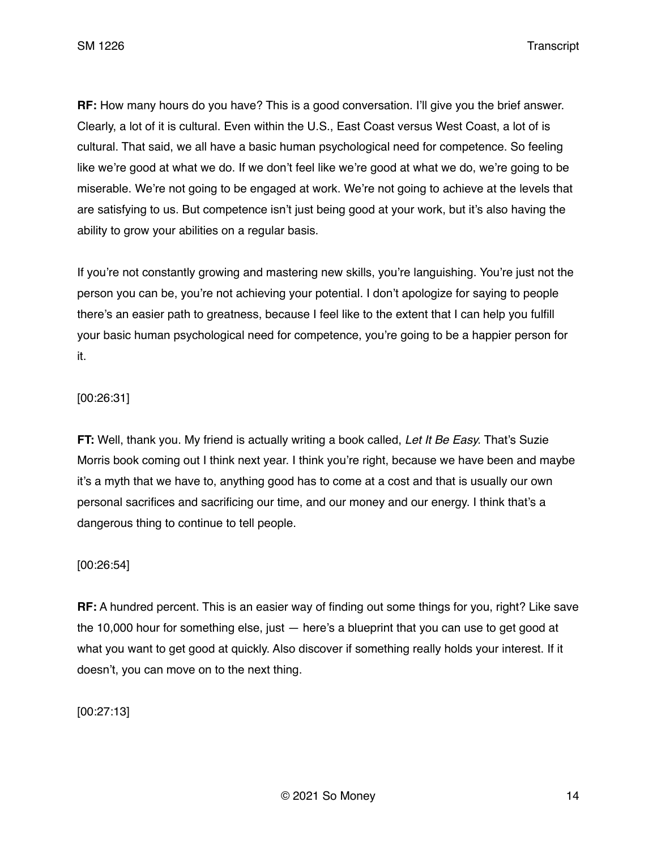**RF:** How many hours do you have? This is a good conversation. I'll give you the brief answer. Clearly, a lot of it is cultural. Even within the U.S., East Coast versus West Coast, a lot of is cultural. That said, we all have a basic human psychological need for competence. So feeling like we're good at what we do. If we don't feel like we're good at what we do, we're going to be miserable. We're not going to be engaged at work. We're not going to achieve at the levels that are satisfying to us. But competence isn't just being good at your work, but it's also having the ability to grow your abilities on a regular basis.

If you're not constantly growing and mastering new skills, you're languishing. You're just not the person you can be, you're not achieving your potential. I don't apologize for saying to people there's an easier path to greatness, because I feel like to the extent that I can help you fulfill your basic human psychological need for competence, you're going to be a happier person for it.

# [00:26:31]

**FT:** Well, thank you. My friend is actually writing a book called, *Let It Be Easy.* That's Suzie Morris book coming out I think next year. I think you're right, because we have been and maybe it's a myth that we have to, anything good has to come at a cost and that is usually our own personal sacrifices and sacrificing our time, and our money and our energy. I think that's a dangerous thing to continue to tell people.

## [00:26:54]

**RF:** A hundred percent. This is an easier way of finding out some things for you, right? Like save the 10,000 hour for something else, just  $-$  here's a blueprint that you can use to get good at what you want to get good at quickly. Also discover if something really holds your interest. If it doesn't, you can move on to the next thing.

[00:27:13]